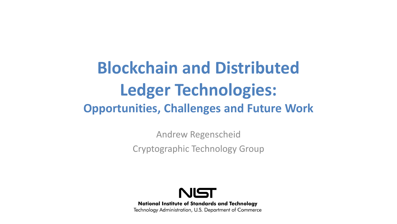## **Blockchain and Distributed Ledger Technologies: Opportunities, Challenges and Future Work**

Andrew Regenscheid Cryptographic Technology Group



**National Institute of Standards and Technology** Technology Administration, U.S. Department of Commerce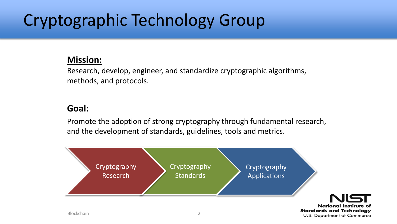# Cryptographic Technology Group

#### **Mission:**

Research, develop, engineer, and standardize cryptographic algorithms, methods, and protocols.

#### **Goal:**

Promote the adoption of strong cryptography through fundamental research, and the development of standards, guidelines, tools and metrics.

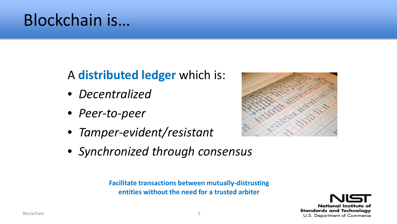## Blockchain is…

### A **distributed ledger** which is:

- *Decentralized*
- *Peer-to-peer*
- *Tamper-evident/resistant*



• *Synchronized through consensus*

**Facilitate transactions between mutually-distrusting entities without the need for a trusted arbiter**

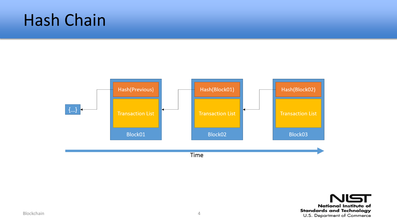## Hash Chain



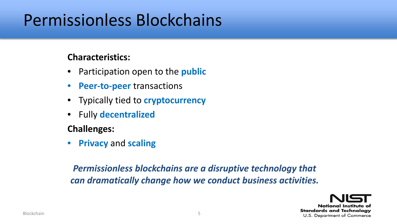## Permissionless Blockchains

#### **Characteristics:**

- Participation open to the **public**
- **Peer-to-peer** transactions
- Typically tied to **cryptocurrency**
- Fully **decentralized**

#### **Challenges:**

• **Privacy** and **scaling**

#### *Permissionless blockchains are a disruptive technology that can dramatically change how we conduct business activities.*

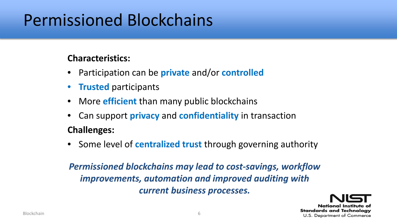## Permissioned Blockchains

#### **Characteristics:**

- Participation can be **private** and/or **controlled**
- **Trusted** participants
- More **efficient** than many public blockchains
- Can support **privacy** and **confidentiality** in transaction

#### **Challenges:**

• Some level of **centralized trust** through governing authority

*Permissioned blockchains may lead to cost-savings, workflow improvements, automation and improved auditing with current business processes.*

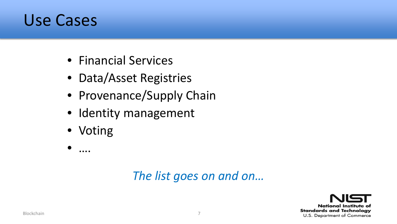### Use Cases

- Financial Services
- Data/Asset Registries
- Provenance/Supply Chain
- Identity management
- Voting
- ….

#### *The list goes on and on…*

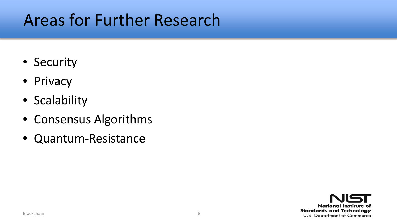## Areas for Further Research

- Security
- Privacy
- Scalability
- Consensus Algorithms
- Quantum-Resistance

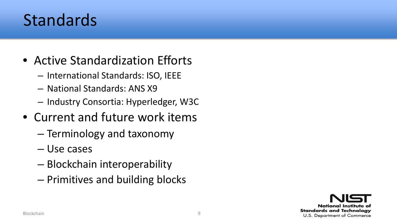## Standards

- Active Standardization Efforts
	- International Standards: ISO, IEEE
	- National Standards: ANS X9
	- Industry Consortia: Hyperledger, W3C
- Current and future work items
	- Terminology and taxonomy
	- Use cases
	- Blockchain interoperability
	- Primitives and building blocks

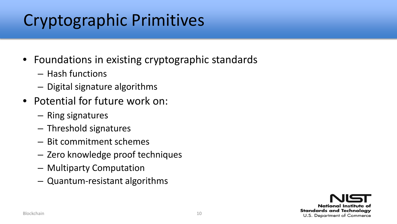## Cryptographic Primitives

- Foundations in existing cryptographic standards
	- Hash functions
	- Digital signature algorithms
- Potential for future work on:
	- Ring signatures
	- Threshold signatures
	- Bit commitment schemes
	- Zero knowledge proof techniques
	- Multiparty Computation
	- Quantum-resistant algorithms

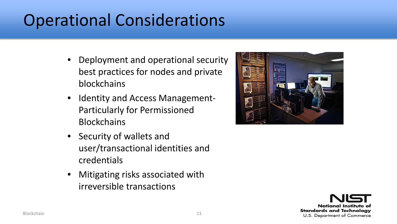## Operational Considerations

- Deployment and operational security best practices for nodes and private blockchains
- Identity and Access Management-Particularly for Permissioned **Blockchains**
- Security of wallets and user/transactional identities and credentials
- Mitigating risks associated with irreversible transactions



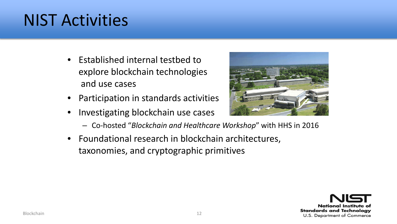## NIST Activities

- Established internal testbed to explore blockchain technologies and use cases
- Participation in standards activities
- Investigating blockchain use cases



- Co-hosted "*Blockchain and Healthcare Workshop*" with HHS in 2016
- Foundational research in blockchain architectures, taxonomies, and cryptographic primitives

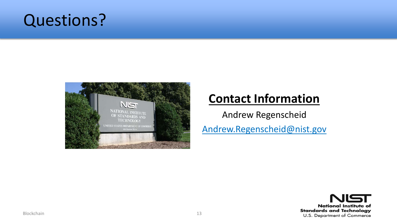### Questions?



#### **Contact Information**

Andrew Regenscheid

Andrew.Regenscheid@nist.gov

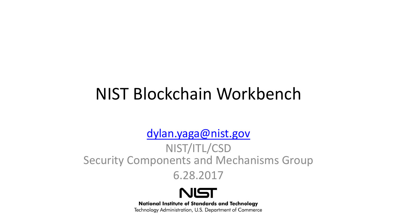## NIST Blockchain Workbench

[dylan.yaga@nist.gov](mailto:dylan.yaga@nist.gov)

NIST/ITL/CSD Security Components and Mechanisms Group

6.28.2017



**National Institute of Standards and Technology** Technology Administration, U.S. Department of Commerce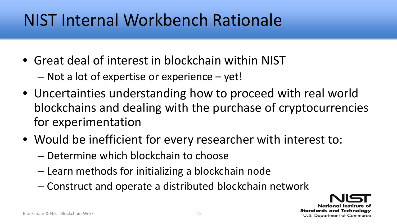## NIST Internal Workbench Rationale

- Great deal of interest in blockchain within NIST
	- Not a lot of expertise or experience yet!
- Uncertainties understanding how to proceed with real world blockchains and dealing with the purchase of cryptocurrencies for experimentation
- Would be inefficient for every researcher with interest to:
	- Determine which blockchain to choose
	- Learn methods for initializing a blockchain node
	- Construct and operate a distributed blockchain network

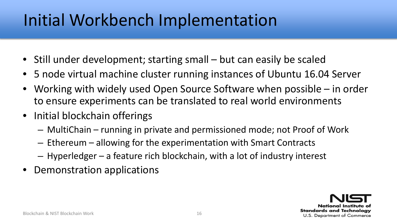# Initial Workbench Implementation

- Still under development; starting small but can easily be scaled
- 5 node virtual machine cluster running instances of Ubuntu 16.04 Server
- Working with widely used Open Source Software when possible in order to ensure experiments can be translated to real world environments
- Initial blockchain offerings
	- MultiChain running in private and permissioned mode; not Proof of Work
	- Ethereum allowing for the experimentation with Smart Contracts
	- Hyperledger a feature rich blockchain, with a lot of industry interest
- Demonstration applications

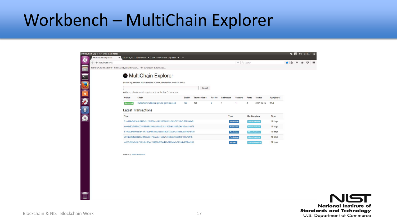## Workbench – MultiChain Explorer

| ڋ<br>e Q Search<br>← ① localhost:2750<br>合自<br>$\circ$<br>MultiChain Explorer @ NIST/ITL/CSD Blockch @ Ethereum Block Expl<br>3<br>$\frac{1}{2}$<br>MultiChain Explorer<br>Search by address, block number or hash, transaction or chain name:<br>Search<br>Address or hash search requires at least the first 6 characters.<br>Chain<br><b>Transactions</b><br><b>Addresses</b><br><b>Status</b><br><b>Blocks</b><br><b>Streams</b><br>Peers<br><b>Started</b><br>Age (days)<br><b>Assets</b><br>109<br>$\circ$<br>$\overline{4}$<br>2017-06-15<br>11.0<br>MultiChain multichain-private-permissioned<br>103<br>1<br>$\overline{4}$<br>Connected<br><b>Latest Transactions</b><br>Txid<br>Confirmation<br>Time<br><b>Type</b><br>51ed34a6d29c6c3416d3123d96b4ad4f256274b29fd38bf52753e6c99820da2b<br>10 days<br>Permissions<br>11 confirmations<br>de06a50cf068bd276486b65a39daae99cf318a1403468a897b26ef49eec3cb73<br>10 days<br>22 contirmations<br>Permissions<br>519662b49002a1b4196180e4663b6215dc8ddf2b5582543e8dea36990a7bf697<br>10 days<br>33 confirmations<br>Permissions<br>d94f2a3f9fadd323a144cb73b170577ba1bbd71766dca9f3c6b4a0788570ff45<br>10 days<br>44 confirmations<br>Permissions<br>acf01d52bf0d6c751fe3bc96e4198632c875edd1e882b4a1a1b7a8e9500ce960<br>10 days<br>Metadata<br>103 confirmations | ltiChain Explorer - Mozilla Firefox<br>MultiChain Explorer | <b>x</b> NIST/ITL/CSD Blockchain $\cdot$ Ethereum Block Explorer $\cdot$ + |  |  |  |  | ti En | (1) 6:12 AM $\bar{x}$ |          |
|------------------------------------------------------------------------------------------------------------------------------------------------------------------------------------------------------------------------------------------------------------------------------------------------------------------------------------------------------------------------------------------------------------------------------------------------------------------------------------------------------------------------------------------------------------------------------------------------------------------------------------------------------------------------------------------------------------------------------------------------------------------------------------------------------------------------------------------------------------------------------------------------------------------------------------------------------------------------------------------------------------------------------------------------------------------------------------------------------------------------------------------------------------------------------------------------------------------------------------------------------------------------------------------------------------------------|------------------------------------------------------------|----------------------------------------------------------------------------|--|--|--|--|-------|-----------------------|----------|
|                                                                                                                                                                                                                                                                                                                                                                                                                                                                                                                                                                                                                                                                                                                                                                                                                                                                                                                                                                                                                                                                                                                                                                                                                                                                                                                        |                                                            |                                                                            |  |  |  |  |       |                       | $\equiv$ |
|                                                                                                                                                                                                                                                                                                                                                                                                                                                                                                                                                                                                                                                                                                                                                                                                                                                                                                                                                                                                                                                                                                                                                                                                                                                                                                                        |                                                            |                                                                            |  |  |  |  |       |                       |          |
|                                                                                                                                                                                                                                                                                                                                                                                                                                                                                                                                                                                                                                                                                                                                                                                                                                                                                                                                                                                                                                                                                                                                                                                                                                                                                                                        |                                                            |                                                                            |  |  |  |  |       |                       |          |
|                                                                                                                                                                                                                                                                                                                                                                                                                                                                                                                                                                                                                                                                                                                                                                                                                                                                                                                                                                                                                                                                                                                                                                                                                                                                                                                        |                                                            |                                                                            |  |  |  |  |       |                       |          |
|                                                                                                                                                                                                                                                                                                                                                                                                                                                                                                                                                                                                                                                                                                                                                                                                                                                                                                                                                                                                                                                                                                                                                                                                                                                                                                                        |                                                            |                                                                            |  |  |  |  |       |                       |          |
|                                                                                                                                                                                                                                                                                                                                                                                                                                                                                                                                                                                                                                                                                                                                                                                                                                                                                                                                                                                                                                                                                                                                                                                                                                                                                                                        |                                                            |                                                                            |  |  |  |  |       |                       |          |
|                                                                                                                                                                                                                                                                                                                                                                                                                                                                                                                                                                                                                                                                                                                                                                                                                                                                                                                                                                                                                                                                                                                                                                                                                                                                                                                        |                                                            |                                                                            |  |  |  |  |       |                       |          |
|                                                                                                                                                                                                                                                                                                                                                                                                                                                                                                                                                                                                                                                                                                                                                                                                                                                                                                                                                                                                                                                                                                                                                                                                                                                                                                                        |                                                            |                                                                            |  |  |  |  |       |                       |          |
|                                                                                                                                                                                                                                                                                                                                                                                                                                                                                                                                                                                                                                                                                                                                                                                                                                                                                                                                                                                                                                                                                                                                                                                                                                                                                                                        |                                                            |                                                                            |  |  |  |  |       |                       |          |
|                                                                                                                                                                                                                                                                                                                                                                                                                                                                                                                                                                                                                                                                                                                                                                                                                                                                                                                                                                                                                                                                                                                                                                                                                                                                                                                        |                                                            |                                                                            |  |  |  |  |       |                       |          |
|                                                                                                                                                                                                                                                                                                                                                                                                                                                                                                                                                                                                                                                                                                                                                                                                                                                                                                                                                                                                                                                                                                                                                                                                                                                                                                                        |                                                            |                                                                            |  |  |  |  |       |                       |          |
|                                                                                                                                                                                                                                                                                                                                                                                                                                                                                                                                                                                                                                                                                                                                                                                                                                                                                                                                                                                                                                                                                                                                                                                                                                                                                                                        |                                                            |                                                                            |  |  |  |  |       |                       |          |
|                                                                                                                                                                                                                                                                                                                                                                                                                                                                                                                                                                                                                                                                                                                                                                                                                                                                                                                                                                                                                                                                                                                                                                                                                                                                                                                        |                                                            |                                                                            |  |  |  |  |       |                       |          |
|                                                                                                                                                                                                                                                                                                                                                                                                                                                                                                                                                                                                                                                                                                                                                                                                                                                                                                                                                                                                                                                                                                                                                                                                                                                                                                                        |                                                            |                                                                            |  |  |  |  |       |                       |          |
|                                                                                                                                                                                                                                                                                                                                                                                                                                                                                                                                                                                                                                                                                                                                                                                                                                                                                                                                                                                                                                                                                                                                                                                                                                                                                                                        |                                                            |                                                                            |  |  |  |  |       |                       |          |
|                                                                                                                                                                                                                                                                                                                                                                                                                                                                                                                                                                                                                                                                                                                                                                                                                                                                                                                                                                                                                                                                                                                                                                                                                                                                                                                        |                                                            |                                                                            |  |  |  |  |       |                       |          |
| Powered by MultiChain Explorer                                                                                                                                                                                                                                                                                                                                                                                                                                                                                                                                                                                                                                                                                                                                                                                                                                                                                                                                                                                                                                                                                                                                                                                                                                                                                         |                                                            |                                                                            |  |  |  |  |       |                       |          |
|                                                                                                                                                                                                                                                                                                                                                                                                                                                                                                                                                                                                                                                                                                                                                                                                                                                                                                                                                                                                                                                                                                                                                                                                                                                                                                                        |                                                            |                                                                            |  |  |  |  |       |                       |          |
|                                                                                                                                                                                                                                                                                                                                                                                                                                                                                                                                                                                                                                                                                                                                                                                                                                                                                                                                                                                                                                                                                                                                                                                                                                                                                                                        |                                                            |                                                                            |  |  |  |  |       |                       |          |
|                                                                                                                                                                                                                                                                                                                                                                                                                                                                                                                                                                                                                                                                                                                                                                                                                                                                                                                                                                                                                                                                                                                                                                                                                                                                                                                        |                                                            |                                                                            |  |  |  |  |       |                       |          |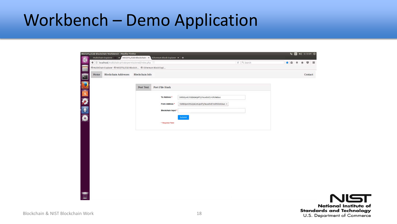## Workbench – Demo Application

|      | ◆ ①   localhost/multichain-private-permissioned/index.php          |                        |                    |                                         | e Q Search | ★自→ | $\circ$ $\equiv$<br>合 |  |
|------|--------------------------------------------------------------------|------------------------|--------------------|-----------------------------------------|------------|-----|-----------------------|--|
|      | @ MultiChain Explorer @ NIST/ITL/CSD Blockch @ Ethereum Block Expl |                        |                    |                                         |            |     |                       |  |
| Home | <b>Blockchain Addresses</b>                                        | <b>Blockchain</b> Info |                    |                                         |            |     | Contact               |  |
|      |                                                                    |                        |                    |                                         |            |     |                       |  |
|      |                                                                    | Post Text              | Post File Hash     |                                         |            |     |                       |  |
|      |                                                                    |                        |                    |                                         |            |     |                       |  |
|      |                                                                    |                        | To Address *       | 1kRb9yv61tGQ6GmUpRTyTeux8Vd1rcRVkWUws   |            |     |                       |  |
|      |                                                                    |                        | From Address *     | 1kRb9yv61tGQ6GmUpRTyTeux8Vd1rcRVkWUws v |            |     |                       |  |
|      |                                                                    |                        | Blockchain Input * |                                         |            |     |                       |  |
|      |                                                                    |                        |                    | Submit                                  |            |     |                       |  |
|      |                                                                    |                        | * Required Field   |                                         |            |     |                       |  |
|      |                                                                    |                        |                    |                                         |            |     |                       |  |
|      |                                                                    |                        |                    |                                         |            |     |                       |  |
|      |                                                                    |                        |                    |                                         |            |     |                       |  |
|      |                                                                    |                        |                    |                                         |            |     |                       |  |
|      |                                                                    |                        |                    |                                         |            |     |                       |  |
|      |                                                                    |                        |                    |                                         |            |     |                       |  |
|      |                                                                    |                        |                    |                                         |            |     |                       |  |
|      |                                                                    |                        |                    |                                         |            |     |                       |  |
|      |                                                                    |                        |                    |                                         |            |     |                       |  |
|      |                                                                    |                        |                    |                                         |            |     |                       |  |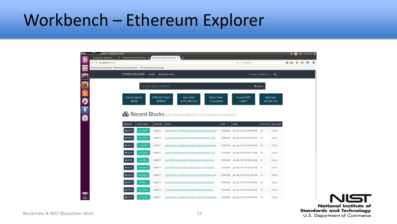### Workbench – Ethereum Explorer

| Ethereum Division Explorer - Mozilla Firefox                         |                                                                    |                              |                                                                  |      |                                    |                          |                   |   | t [50 4) 6:13 AM 设 |   |
|----------------------------------------------------------------------|--------------------------------------------------------------------|------------------------------|------------------------------------------------------------------|------|------------------------------------|--------------------------|-------------------|---|--------------------|---|
| MultiChain Explorer<br>$\bullet$<br>$\leftarrow$ 0 localhost:8000/#/ | x   NIST/ITL/CSD Blockchain   x   Ethereum Block Explorer x   +    |                              |                                                                  |      | e   Q Search                       |                          |                   | 自 |                    | ◛ |
|                                                                      | @ MultiChain Explorer @ NIST/ITL/CSD Blockch @ Ethereum Block Expl |                              |                                                                  |      |                                    |                          |                   |   |                    |   |
| $\geq$                                                               | <b>ETHER EXPLORER</b>                                              | Home                         | <b>Blockchain Info</b>                                           |      |                                    | Tx Hash, Address, or     | $\alpha$          |   |                    |   |
| U                                                                    |                                                                    |                              |                                                                  |      |                                    |                          |                   |   |                    |   |
|                                                                      |                                                                    | Tx Hash, Address, or Block # |                                                                  |      | Q Search                           |                          |                   |   |                    |   |
| 全学生品                                                                 |                                                                    |                              |                                                                  |      |                                    |                          |                   |   |                    |   |
|                                                                      | <b>Current Block:</b><br>66709                                     | ETH/USD Price:<br>\$284.87   | <b>Block Time:</b><br>Gas Limit:<br>4,712,388 m/s<br>2 second(s) |      | <b>Current Diff:</b><br>0.000T     | Hashrate:<br>54.254 TH/s |                   |   |                    |   |
|                                                                      |                                                                    |                              |                                                                  |      |                                    |                          |                   |   |                    |   |
|                                                                      |                                                                    |                              | Recent Blocks Most Recent Blocks in the Ethereum Network         |      |                                    |                          |                   |   |                    |   |
|                                                                      |                                                                    |                              |                                                                  |      |                                    |                          |                   |   |                    |   |
|                                                                      |                                                                    |                              |                                                                  |      |                                    |                          |                   |   |                    |   |
|                                                                      | Block #<br><b>Block Hash</b>                                       | <b>Difficulty</b>            | Miner                                                            | Size | Date                               | $#$ of TXs               | Gas used          |   |                    |   |
|                                                                      | € 66709<br>0x51d668f.                                              | 0.000T                       | 0x6405e2b71bcf681692d0a4317b035e6e4bee403e                       |      | 0.538 kB Jun 26, 2017 6:13:44 AM   | $\overline{0}$           | $0 \, \text{m/s}$ |   |                    |   |
|                                                                      | 0x71e4499.<br>₩ 66708                                              | 0.000T                       | 0xa0cb7b09afa614c2d79702564094e1660911f3f2                       |      | 0.538 kB Jun 26, 2017 6:13:42 AM   | $\circ$                  | $0 \, \text{m/s}$ |   |                    |   |
|                                                                      | 0x49a6d5e.<br>₩ 66707                                              | 0.000T                       | 0x6405e2b71bcf681692d0a4317b035e6e4bee403e                       |      | 0.538 kB Jun 26, 2017 6:13:38 AM 0 |                          | $0$ m/s           |   |                    |   |
|                                                                      | 0x1e1aa3a<br>€ 66706                                               | 0.000T                       | 0xa0cb7b09afa614c2d79702564094e1660911f3f2                       |      | 0.538 kB Jun 26, 2017 6:13:17 AM 0 |                          | $0 \, \text{m/s}$ |   |                    |   |
|                                                                      | € 66705<br>Oxdfcfdf4.                                              | 0.000T                       | 0x01f568c5afa293cf821b0c9c02e3cce354e93c9d                       |      | 0.538 kB Jun 26, 2017 6:12:25 AM 0 |                          | $0$ m/s           |   |                    |   |
|                                                                      | 0x1bfa400.<br>₩ 66704                                              | 0.000T                       | 0x01f568c5afa293cf821b0c9c02e3cce354e93c9d                       |      | 0.538 kB Jun 26, 2017 6:12:20 AM 0 |                          | $0 \, \text{m/s}$ |   |                    |   |
|                                                                      | Oxfcc000a.<br>₩ 66703                                              | 0.000T                       | 0x6405e2b71bcf681692d0a4317b035e6e4bee403e                       |      | 0.538 kB Jun 26, 2017 6:11:56 AM 0 |                          | $0$ m/s           |   |                    |   |
|                                                                      | 0x9f36d71.<br>● 66702                                              | 0.000T                       | 0x01f568c5afa293cf821b0c9c02e3cce354e93c9d                       |      | 0.538 kB Jun 26, 2017 6:11:39 AM   | $\circ$                  | $0 \text{ m/s}$   |   |                    |   |
|                                                                      | € 66701<br>0x5a86562.                                              | 0.000T                       | 0x13f2a6054fda595a06362ffff28bbac2c9433e24                       |      |                                    | $\circ$                  | $0$ m/s           |   |                    |   |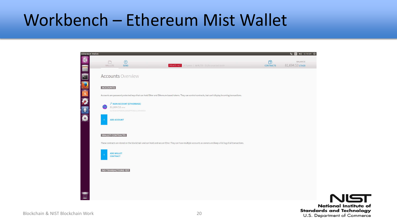## Workbench – Ethereum Mist Wallet

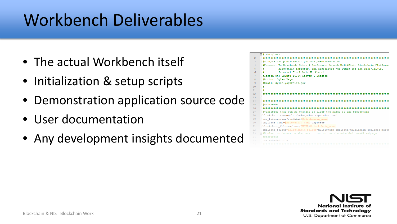# Workbench Deliverables

- The actual Workbench itself
- Initialization & setup scripts
- Demonstration application source code
- User documentation
- Any development insights documented

|                 | $\Box$ #!/bin/bash                                                                |
|-----------------|-----------------------------------------------------------------------------------|
| $\overline{2}$  |                                                                                   |
| 3               | #Script: setup multichain private permissioned.sh                                 |
| 4               | #Purpose: To Download, Setup & Configure, Launch MultiChain Blockchain Platform,  |
| 5               | Blockchain Explorer, and associated Web Demos for the NIST/ITL/CSD                |
| 6               | Ŧ.<br>Internal Blockchain Workbench                                               |
| 7               | #Tested On: Ubuntu 16.04 Server & Desktop                                         |
| $\mathbf{R}$    | #Author: Dylan Yaga                                                               |
| $\mathbf{Q}$    | #Email: dylan.vaga@nist.gov                                                       |
| 10 <sup>°</sup> | $\ddagger$                                                                        |
| 11              | #                                                                                 |
| 12 <sub>2</sub> |                                                                                   |
| 13              |                                                                                   |
| 14              |                                                                                   |
| 15              | #Variables                                                                        |
| 16              |                                                                                   |
| 17              | <sup>1</sup> Wariables that can be changed to alter the names of the blockchain   |
| 18              | blockchain name=multichain-private-permissioned                                   |
| 19              | web folder=/var/www/html/\$blockchain name                                        |
| 20              | explorer name=\$blockchain name-explorer                                          |
| 21              | blockchain folder=/home/\$USER/\$blockchain name                                  |
| $22^{1}$        | explorer folder=\$blockchain folder/multichain-explorer/multichain-explorer-maste |
| 23              | F#Boolean to determine whethere or not to use the embedded base64 webpage         |
| 24              | -#resources                                                                       |
| 25              | use embeded=true                                                                  |
|                 |                                                                                   |

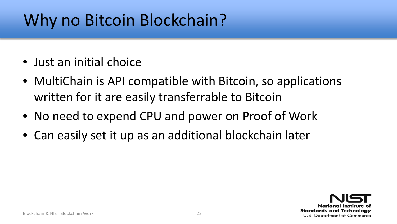# Why no Bitcoin Blockchain?

- Just an initial choice
- MultiChain is API compatible with Bitcoin, so applications written for it are easily transferrable to Bitcoin
- No need to expend CPU and power on Proof of Work
- Can easily set it up as an additional blockchain later

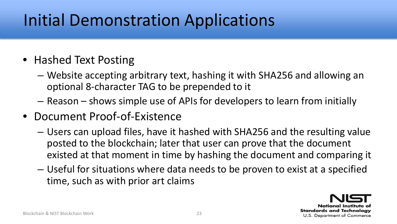# Initial Demonstration Applications

#### • Hashed Text Posting

- Website accepting arbitrary text, hashing it with SHA256 and allowing an optional 8-character TAG to be prepended to it
- Reason shows simple use of APIs for developers to learn from initially
- Document Proof-of-Existence
	- Users can upload files, have it hashed with SHA256 and the resulting value posted to the blockchain; later that user can prove that the document existed at that moment in time by hashing the document and comparing it
	- Useful for situations where data needs to be proven to exist at a specified time, such as with prior art claims

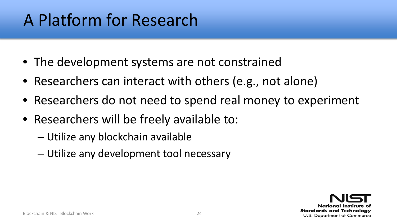# A Platform for Research

- The development systems are not constrained
- Researchers can interact with others (e.g., not alone)
- Researchers do not need to spend real money to experiment
- Researchers will be freely available to:
	- Utilize any blockchain available
	- Utilize any development tool necessary

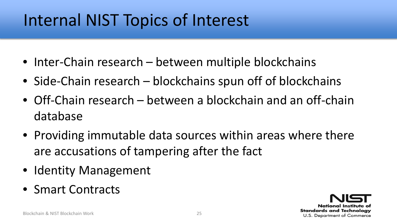## Internal NIST Topics of Interest

- Inter-Chain research between multiple blockchains
- Side-Chain research blockchains spun off of blockchains
- Off-Chain research between a blockchain and an off-chain database
- Providing immutable data sources within areas where there are accusations of tampering after the fact
- Identity Management
- Smart Contracts

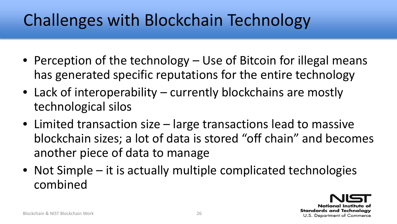# Challenges with Blockchain Technology

- Perception of the technology Use of Bitcoin for illegal means has generated specific reputations for the entire technology
- Lack of interoperability currently blockchains are mostly technological silos
- Limited transaction size large transactions lead to massive blockchain sizes; a lot of data is stored "off chain" and becomes another piece of data to manage
- Not Simple it is actually multiple complicated technologies combined

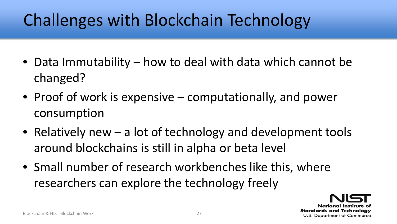# Challenges with Blockchain Technology

- Data Immutability how to deal with data which cannot be changed?
- Proof of work is expensive computationally, and power consumption
- Relatively new a lot of technology and development tools around blockchains is still in alpha or beta level
- Small number of research workbenches like this, where researchers can explore the technology freely